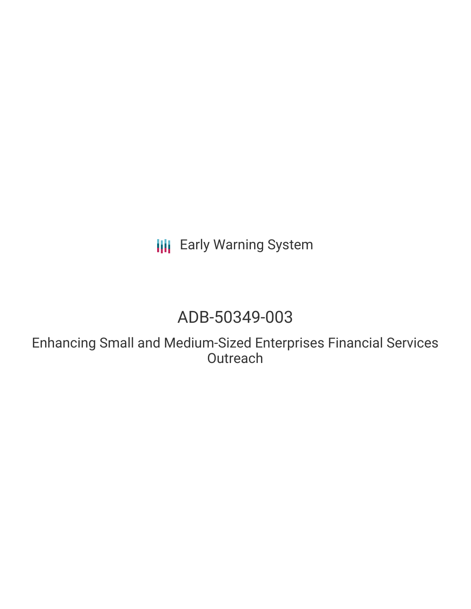**III** Early Warning System

# ADB-50349-003

Enhancing Small and Medium-Sized Enterprises Financial Services **Outreach**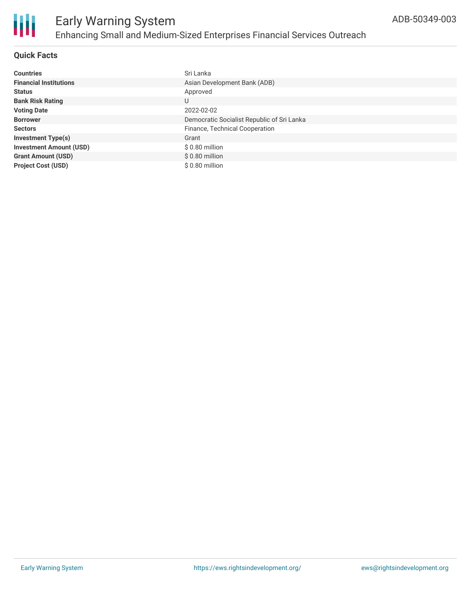

## **Quick Facts**

| <b>Countries</b>               | Sri Lanka                                  |
|--------------------------------|--------------------------------------------|
| <b>Financial Institutions</b>  | Asian Development Bank (ADB)               |
| <b>Status</b>                  | Approved                                   |
| <b>Bank Risk Rating</b>        | U                                          |
| <b>Voting Date</b>             | 2022-02-02                                 |
| <b>Borrower</b>                | Democratic Socialist Republic of Sri Lanka |
| <b>Sectors</b>                 | Finance, Technical Cooperation             |
| <b>Investment Type(s)</b>      | Grant                                      |
| <b>Investment Amount (USD)</b> | \$0.80 million                             |
| <b>Grant Amount (USD)</b>      | $$0.80$ million                            |
| <b>Project Cost (USD)</b>      | \$0.80 million                             |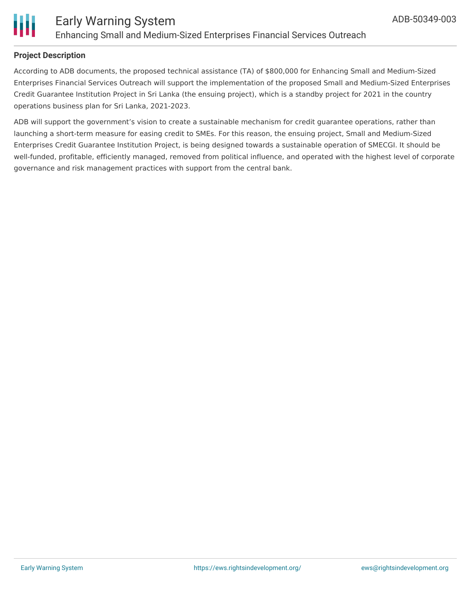

#### **Project Description**

According to ADB documents, the proposed technical assistance (TA) of \$800,000 for Enhancing Small and Medium-Sized Enterprises Financial Services Outreach will support the implementation of the proposed Small and Medium-Sized Enterprises Credit Guarantee Institution Project in Sri Lanka (the ensuing project), which is a standby project for 2021 in the country operations business plan for Sri Lanka, 2021-2023.

ADB will support the government's vision to create a sustainable mechanism for credit guarantee operations, rather than launching a short-term measure for easing credit to SMEs. For this reason, the ensuing project, Small and Medium-Sized Enterprises Credit Guarantee Institution Project, is being designed towards a sustainable operation of SMECGI. It should be well-funded, profitable, efficiently managed, removed from political influence, and operated with the highest level of corporate governance and risk management practices with support from the central bank.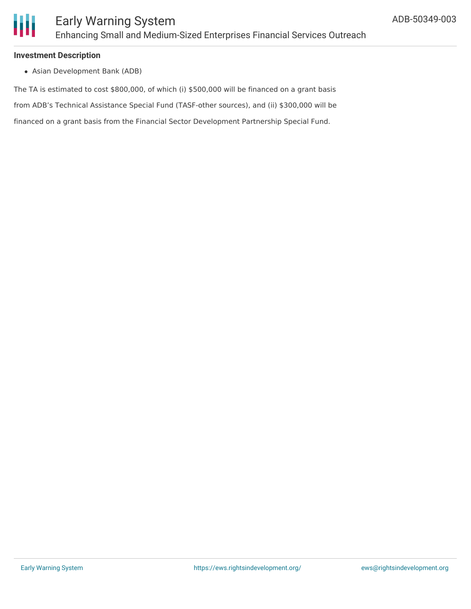

#### **Investment Description**

Asian Development Bank (ADB)

The TA is estimated to cost \$800,000, of which (i) \$500,000 will be financed on a grant basis from ADB's Technical Assistance Special Fund (TASF-other sources), and (ii) \$300,000 will be financed on a grant basis from the Financial Sector Development Partnership Special Fund.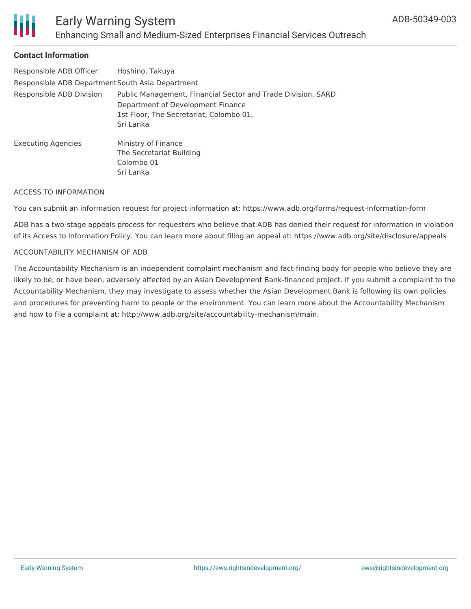

## **Contact Information**

| Responsible ADB Officer                          | Hoshino, Takuya                                                                                                                                           |
|--------------------------------------------------|-----------------------------------------------------------------------------------------------------------------------------------------------------------|
| Responsible ADB Department South Asia Department |                                                                                                                                                           |
| Responsible ADB Division                         | Public Management, Financial Sector and Trade Division, SARD<br>Department of Development Finance<br>1st Floor, The Secretariat, Colombo 01,<br>Sri Lanka |
| <b>Executing Agencies</b>                        | Ministry of Finance<br>The Secretariat Building<br>Colombo 01<br>Sri Lanka                                                                                |

#### ACCESS TO INFORMATION

You can submit an information request for project information at: https://www.adb.org/forms/request-information-form

ADB has a two-stage appeals process for requesters who believe that ADB has denied their request for information in violation of its Access to Information Policy. You can learn more about filing an appeal at: https://www.adb.org/site/disclosure/appeals

#### ACCOUNTABILITY MECHANISM OF ADB

The Accountability Mechanism is an independent complaint mechanism and fact-finding body for people who believe they are likely to be, or have been, adversely affected by an Asian Development Bank-financed project. If you submit a complaint to the Accountability Mechanism, they may investigate to assess whether the Asian Development Bank is following its own policies and procedures for preventing harm to people or the environment. You can learn more about the Accountability Mechanism and how to file a complaint at: http://www.adb.org/site/accountability-mechanism/main.